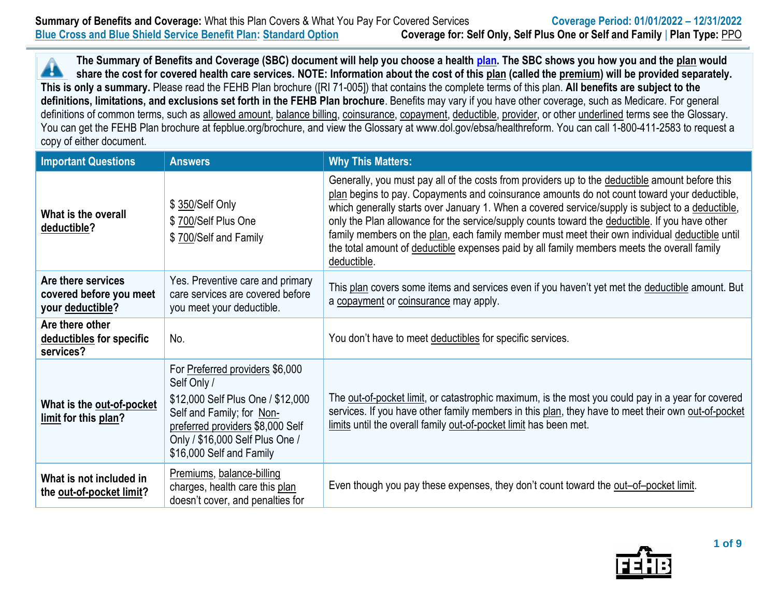**The Summary of Benefits and Coverage (SBC) document will help you choose a health [plan.](https://www.opm.gov/healthcare-insurance/healthcare/plan-information/compare-plans/) The SBC shows you how you and the plan would** Â **share the cost for covered health care services. NOTE: Information about the cost of this plan (called the premium) will be provided separately. This is only a summary.** Please read the FEHB Plan brochure ([RI 71-005]) that contains the complete terms of this plan. **All benefits are subject to the definitions, limitations, and exclusions set forth in the FEHB Plan brochure**. Benefits may vary if you have other coverage, such as Medicare. For general definitions of common terms, such as allowed amount, balance billing, coinsurance, copayment, deductible, provider, or other underlined terms see the Glossary. You can get the FEHB Plan brochure at fepblue.org/brochure, and view the Glossary at www.dol.gov/ebsa/healthreform. You can call 1-800-411-2583 to request a copy of either document.

| <b>Important Questions</b>                                        | <b>Answers</b>                                                                                                                                                                                                      | <b>Why This Matters:</b>                                                                                                                                                                                                                                                                                                                                                                                                                                                                                                                                                                                             |
|-------------------------------------------------------------------|---------------------------------------------------------------------------------------------------------------------------------------------------------------------------------------------------------------------|----------------------------------------------------------------------------------------------------------------------------------------------------------------------------------------------------------------------------------------------------------------------------------------------------------------------------------------------------------------------------------------------------------------------------------------------------------------------------------------------------------------------------------------------------------------------------------------------------------------------|
| What is the overall<br>deductible?                                | \$ 350/Self Only<br>\$700/Self Plus One<br>\$700/Self and Family                                                                                                                                                    | Generally, you must pay all of the costs from providers up to the deductible amount before this<br>plan begins to pay. Copayments and coinsurance amounts do not count toward your deductible,<br>which generally starts over January 1. When a covered service/supply is subject to a deductible,<br>only the Plan allowance for the service/supply counts toward the deductible. If you have other<br>family members on the plan, each family member must meet their own individual deductible until<br>the total amount of deductible expenses paid by all family members meets the overall family<br>deductible. |
| Are there services<br>covered before you meet<br>your deductible? | Yes. Preventive care and primary<br>care services are covered before<br>you meet your deductible.                                                                                                                   | This plan covers some items and services even if you haven't yet met the deductible amount. But<br>a copayment or coinsurance may apply.                                                                                                                                                                                                                                                                                                                                                                                                                                                                             |
| Are there other<br>deductibles for specific<br>services?          | No.                                                                                                                                                                                                                 | You don't have to meet deductibles for specific services.                                                                                                                                                                                                                                                                                                                                                                                                                                                                                                                                                            |
| What is the out-of-pocket<br>limit for this plan?                 | For Preferred providers \$6,000<br>Self Only /<br>\$12,000 Self Plus One / \$12,000<br>Self and Family; for Non-<br>preferred providers \$8,000 Self<br>Only / \$16,000 Self Plus One /<br>\$16,000 Self and Family | The out-of-pocket limit, or catastrophic maximum, is the most you could pay in a year for covered<br>services. If you have other family members in this plan, they have to meet their own out-of-pocket<br>limits until the overall family out-of-pocket limit has been met.                                                                                                                                                                                                                                                                                                                                         |
| What is not included in<br>the out-of-pocket limit?               | Premiums, balance-billing<br>charges, health care this plan<br>doesn't cover, and penalties for                                                                                                                     | Even though you pay these expenses, they don't count toward the out-of-pocket limit.                                                                                                                                                                                                                                                                                                                                                                                                                                                                                                                                 |

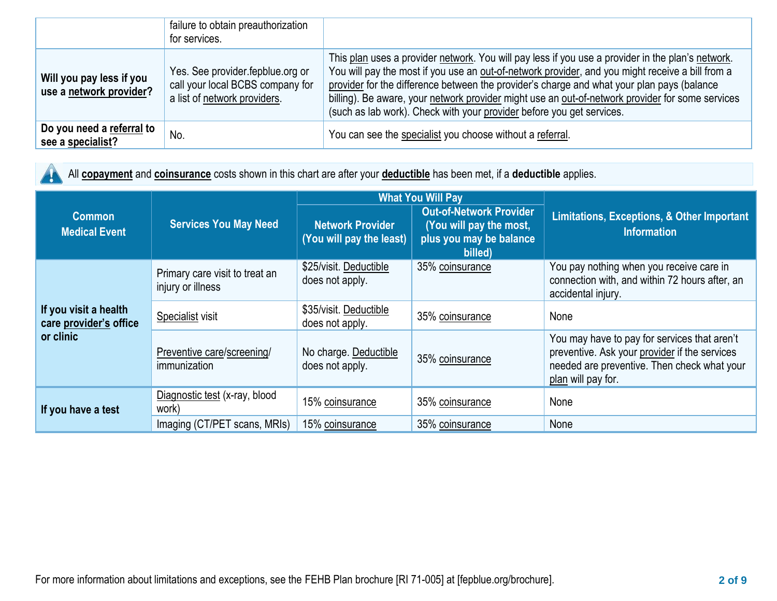|                                                     | failure to obtain preauthorization<br>for services.                                                  |                                                                                                                                                                                                                                                                                                                                                                                                                                                                                  |
|-----------------------------------------------------|------------------------------------------------------------------------------------------------------|----------------------------------------------------------------------------------------------------------------------------------------------------------------------------------------------------------------------------------------------------------------------------------------------------------------------------------------------------------------------------------------------------------------------------------------------------------------------------------|
| Will you pay less if you<br>use a network provider? | Yes. See provider fepblue org or<br>call your local BCBS company for<br>a list of network providers. | This plan uses a provider network. You will pay less if you use a provider in the plan's network.<br>You will pay the most if you use an out-of-network provider, and you might receive a bill from a<br>provider for the difference between the provider's charge and what your plan pays (balance<br>billing). Be aware, your network provider might use an out-of-network provider for some services<br>(such as lab work). Check with your provider before you get services. |
| Do you need a referral to<br>see a specialist?      | No.                                                                                                  | You can see the specialist you choose without a referral.                                                                                                                                                                                                                                                                                                                                                                                                                        |

All **copayment** and **coinsurance** costs shown in this chart are after your **deductible** has been met, if a **deductible** applies. 48.

|                                                              |                                                     |                                                     | <b>What You Will Pay</b>                                                                        |                                                                                                                                                                    |  |
|--------------------------------------------------------------|-----------------------------------------------------|-----------------------------------------------------|-------------------------------------------------------------------------------------------------|--------------------------------------------------------------------------------------------------------------------------------------------------------------------|--|
| <b>Common</b><br><b>Medical Event</b>                        | <b>Services You May Need</b>                        | <b>Network Provider</b><br>(You will pay the least) | <b>Out-of-Network Provider</b><br>(You will pay the most,<br>plus you may be balance<br>billed) | <b>Limitations, Exceptions, &amp; Other Important</b><br><b>Information</b>                                                                                        |  |
| If you visit a health<br>care provider's office<br>or clinic | Primary care visit to treat an<br>injury or illness | \$25/visit. Deductible<br>does not apply.           | 35% coinsurance                                                                                 | You pay nothing when you receive care in<br>connection with, and within 72 hours after, an<br>accidental injury.                                                   |  |
|                                                              | Specialist visit                                    | \$35/visit. Deductible<br>does not apply.           | 35% coinsurance                                                                                 | None                                                                                                                                                               |  |
|                                                              | Preventive care/screening/<br>immunization          | No charge. Deductible<br>does not apply.            | 35% coinsurance                                                                                 | You may have to pay for services that aren't<br>preventive. Ask your provider if the services<br>needed are preventive. Then check what your<br>plan will pay for. |  |
| If you have a test                                           | Diagnostic test (x-ray, blood<br>work)              | 15% coinsurance                                     | 35% coinsurance                                                                                 | None                                                                                                                                                               |  |
|                                                              | Imaging (CT/PET scans, MRIs)                        | 15% coinsurance                                     | 35% coinsurance                                                                                 | None                                                                                                                                                               |  |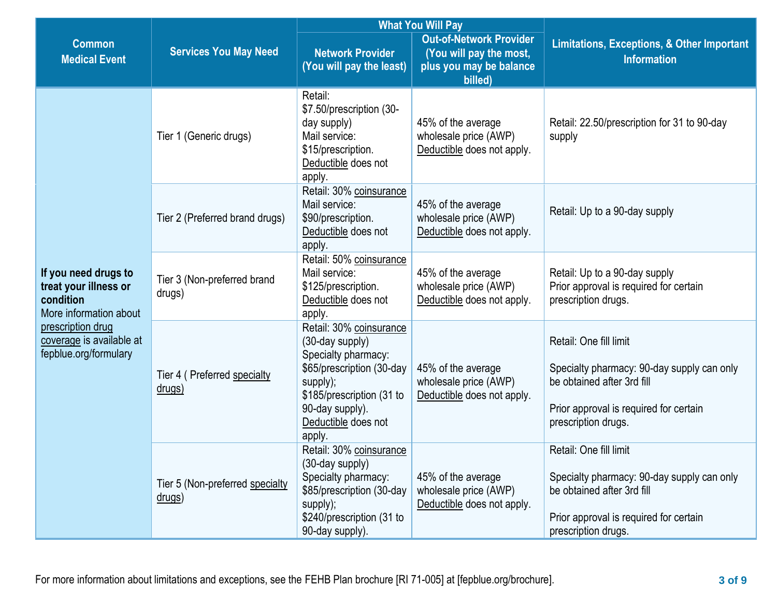|                                                                                                                                                                |                                               |                                                                                                                                                                                             | <b>What You Will Pay</b>                                                                        |                                                                                                                                                                     |  |
|----------------------------------------------------------------------------------------------------------------------------------------------------------------|-----------------------------------------------|---------------------------------------------------------------------------------------------------------------------------------------------------------------------------------------------|-------------------------------------------------------------------------------------------------|---------------------------------------------------------------------------------------------------------------------------------------------------------------------|--|
| <b>Common</b><br><b>Medical Event</b>                                                                                                                          | <b>Services You May Need</b>                  | <b>Network Provider</b><br>(You will pay the least)                                                                                                                                         | <b>Out-of-Network Provider</b><br>(You will pay the most,<br>plus you may be balance<br>billed) | <b>Limitations, Exceptions, &amp; Other Important</b><br><b>Information</b>                                                                                         |  |
| If you need drugs to<br>treat your illness or<br>condition<br>More information about<br>prescription drug<br>coverage is available at<br>fepblue.org/formulary | Tier 1 (Generic drugs)                        | Retail:<br>\$7.50/prescription (30-<br>day supply)<br>Mail service:<br>\$15/prescription.<br>Deductible does not<br>apply.                                                                  | 45% of the average<br>wholesale price (AWP)<br>Deductible does not apply.                       | Retail: 22.50/prescription for 31 to 90-day<br>supply                                                                                                               |  |
|                                                                                                                                                                | Tier 2 (Preferred brand drugs)                | Retail: 30% coinsurance<br>Mail service:<br>\$90/prescription.<br>Deductible does not<br>apply.                                                                                             | 45% of the average<br>wholesale price (AWP)<br>Deductible does not apply.                       | Retail: Up to a 90-day supply                                                                                                                                       |  |
|                                                                                                                                                                | Tier 3 (Non-preferred brand<br>drugs)         | Retail: 50% coinsurance<br>Mail service:<br>\$125/prescription.<br>Deductible does not<br>apply.                                                                                            | 45% of the average<br>wholesale price (AWP)<br>Deductible does not apply.                       | Retail: Up to a 90-day supply<br>Prior approval is required for certain<br>prescription drugs.                                                                      |  |
|                                                                                                                                                                | Tier 4 ( Preferred specialty<br><u>drugs)</u> | Retail: 30% coinsurance<br>(30-day supply)<br>Specialty pharmacy:<br>\$65/prescription (30-day<br>supply);<br>\$185/prescription (31 to<br>90-day supply).<br>Deductible does not<br>apply. | 45% of the average<br>wholesale price (AWP)<br>Deductible does not apply.                       | Retail: One fill limit<br>Specialty pharmacy: 90-day supply can only<br>be obtained after 3rd fill<br>Prior approval is required for certain<br>prescription drugs. |  |
|                                                                                                                                                                | Tier 5 (Non-preferred specialty<br>drugs)     | Retail: 30% coinsurance<br>(30-day supply)<br>Specialty pharmacy:<br>\$85/prescription (30-day<br>supply);<br>\$240/prescription (31 to<br>90-day supply).                                  | 45% of the average<br>wholesale price (AWP)<br>Deductible does not apply.                       | Retail: One fill limit<br>Specialty pharmacy: 90-day supply can only<br>be obtained after 3rd fill<br>Prior approval is required for certain<br>prescription drugs. |  |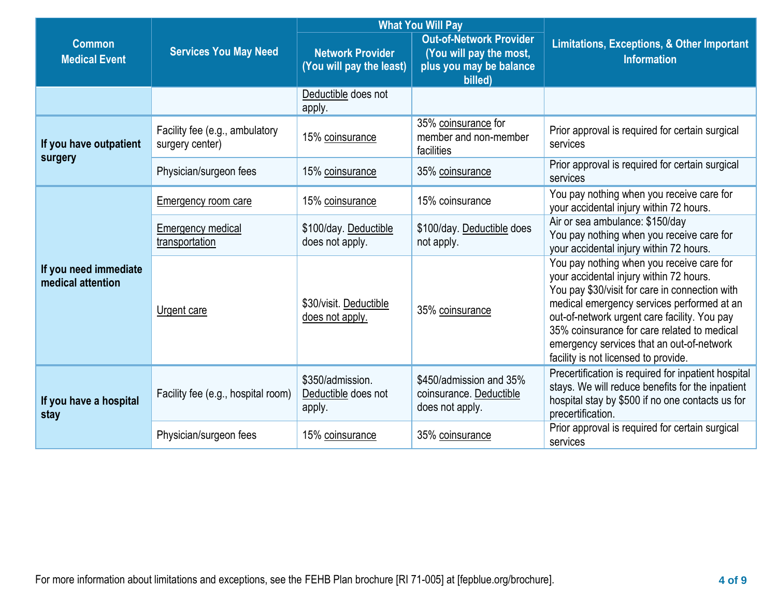|                                            |                                                   |                                                     | <b>What You Will Pay</b>                                                                        | <b>Limitations, Exceptions, &amp; Other Important</b><br><b>Information</b>                                                                                                                                                                                                                                                                                              |  |
|--------------------------------------------|---------------------------------------------------|-----------------------------------------------------|-------------------------------------------------------------------------------------------------|--------------------------------------------------------------------------------------------------------------------------------------------------------------------------------------------------------------------------------------------------------------------------------------------------------------------------------------------------------------------------|--|
| <b>Common</b><br><b>Medical Event</b>      | <b>Services You May Need</b>                      | <b>Network Provider</b><br>(You will pay the least) | <b>Out-of-Network Provider</b><br>(You will pay the most,<br>plus you may be balance<br>billed) |                                                                                                                                                                                                                                                                                                                                                                          |  |
|                                            |                                                   | Deductible does not<br>apply.                       |                                                                                                 |                                                                                                                                                                                                                                                                                                                                                                          |  |
| If you have outpatient                     | Facility fee (e.g., ambulatory<br>surgery center) | 15% coinsurance                                     | 35% coinsurance for<br>member and non-member<br>facilities                                      | Prior approval is required for certain surgical<br>services                                                                                                                                                                                                                                                                                                              |  |
| surgery                                    | Physician/surgeon fees                            | 15% coinsurance                                     | 35% coinsurance                                                                                 | Prior approval is required for certain surgical<br>services                                                                                                                                                                                                                                                                                                              |  |
| If you need immediate<br>medical attention | Emergency room care                               | 15% coinsurance                                     | 15% coinsurance                                                                                 | You pay nothing when you receive care for<br>your accidental injury within 72 hours.                                                                                                                                                                                                                                                                                     |  |
|                                            | Emergency medical<br>transportation               | \$100/day. Deductible<br>does not apply.            | \$100/day. Deductible does<br>not apply.                                                        | Air or sea ambulance: \$150/day<br>You pay nothing when you receive care for<br>your accidental injury within 72 hours.                                                                                                                                                                                                                                                  |  |
|                                            | Urgent care                                       | \$30/visit. Deductible<br>does not apply.           | 35% coinsurance                                                                                 | You pay nothing when you receive care for<br>your accidental injury within 72 hours.<br>You pay \$30/visit for care in connection with<br>medical emergency services performed at an<br>out-of-network urgent care facility. You pay<br>35% coinsurance for care related to medical<br>emergency services that an out-of-network<br>facility is not licensed to provide. |  |
| If you have a hospital<br>stay             | Facility fee (e.g., hospital room)                | \$350/admission.<br>Deductible does not<br>apply.   | \$450/admission and 35%<br>coinsurance. Deductible<br>does not apply.                           | Precertification is required for inpatient hospital<br>stays. We will reduce benefits for the inpatient<br>hospital stay by \$500 if no one contacts us for<br>precertification.                                                                                                                                                                                         |  |
|                                            | Physician/surgeon fees                            | 15% coinsurance                                     | 35% coinsurance                                                                                 | Prior approval is required for certain surgical<br>services                                                                                                                                                                                                                                                                                                              |  |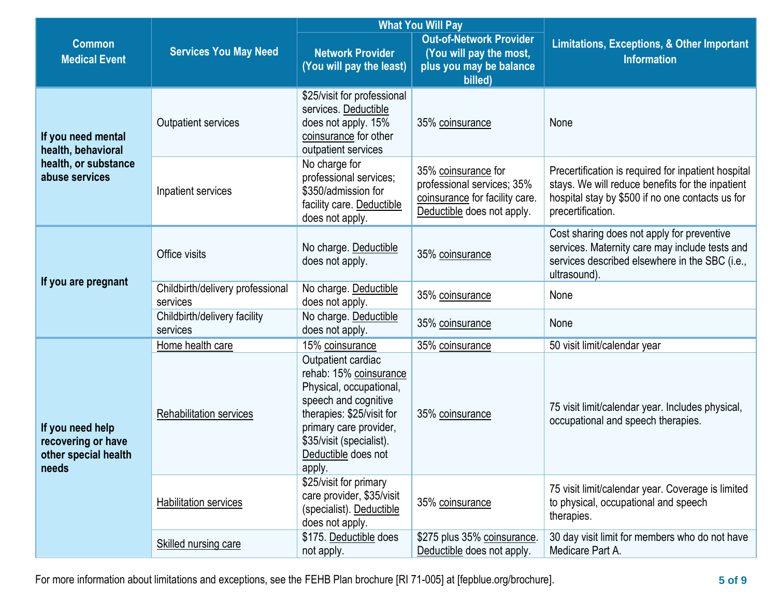|                                                                         | <b>What You Will Pay</b>                     |                                                                                                                                                                                                                     |                                                                                                                   |                                                                                                                                                                                  |
|-------------------------------------------------------------------------|----------------------------------------------|---------------------------------------------------------------------------------------------------------------------------------------------------------------------------------------------------------------------|-------------------------------------------------------------------------------------------------------------------|----------------------------------------------------------------------------------------------------------------------------------------------------------------------------------|
| <b>Common</b><br><b>Medical Event</b>                                   | <b>Services You May Need</b>                 | <b>Network Provider</b><br>(You will pay the least)                                                                                                                                                                 | <b>Out-of-Network Provider</b><br>(You will pay the most,<br>plus you may be balance<br>billed)                   | <b>Limitations, Exceptions, &amp; Other Important</b><br><b>Information</b>                                                                                                      |
| If you need mental<br>health, behavioral                                | Outpatient services                          | \$25/visit for professional<br>services. Deductible<br>does not apply. 15%<br>coinsurance for other<br>outpatient services                                                                                          | 35% coinsurance                                                                                                   | None                                                                                                                                                                             |
| health, or substance<br>abuse services                                  | Inpatient services                           | No charge for<br>professional services;<br>\$350/admission for<br>facility care. Deductible<br>does not apply.                                                                                                      | 35% coinsurance for<br>professional services; 35%<br>coinsurance for facility care.<br>Deductible does not apply. | Precertification is required for inpatient hospital<br>stays. We will reduce benefits for the inpatient<br>hospital stay by \$500 if no one contacts us for<br>precertification. |
|                                                                         | Office visits                                | No charge. Deductible<br>does not apply.                                                                                                                                                                            | 35% coinsurance                                                                                                   | Cost sharing does not apply for preventive<br>services. Maternity care may include tests and<br>services described elsewhere in the SBC (i.e.,<br>ultrasound).                   |
| If you are pregnant                                                     | Childbirth/delivery professional<br>services | No charge. Deductible<br>does not apply.                                                                                                                                                                            | 35% coinsurance                                                                                                   | None                                                                                                                                                                             |
|                                                                         | Childbirth/delivery facility<br>services     | No charge. Deductible<br>does not apply.                                                                                                                                                                            | 35% coinsurance                                                                                                   | None                                                                                                                                                                             |
|                                                                         | Home health care                             | 15% coinsurance                                                                                                                                                                                                     | 35% coinsurance                                                                                                   | 50 visit limit/calendar year                                                                                                                                                     |
| If you need help<br>recovering or have<br>other special health<br>needs | <b>Rehabilitation services</b>               | Outpatient cardiac<br>rehab: 15% coinsurance<br>Physical, occupational,<br>speech and cognitive<br>therapies: \$25/visit for<br>primary care provider,<br>\$35/visit (specialist).<br>Deductible does not<br>apply. | 35% coinsurance                                                                                                   | 75 visit limit/calendar year. Includes physical,<br>occupational and speech therapies.                                                                                           |
|                                                                         | <b>Habilitation services</b>                 | \$25/visit for primary<br>care provider, \$35/visit<br>(specialist). Deductible<br>does not apply.                                                                                                                  | 35% coinsurance                                                                                                   | 75 visit limit/calendar year. Coverage is limited<br>to physical, occupational and speech<br>therapies.                                                                          |
|                                                                         | Skilled nursing care                         | \$175. Deductible does<br>not apply.                                                                                                                                                                                | \$275 plus 35% coinsurance.<br>Deductible does not apply.                                                         | 30 day visit limit for members who do not have<br>Medicare Part A.                                                                                                               |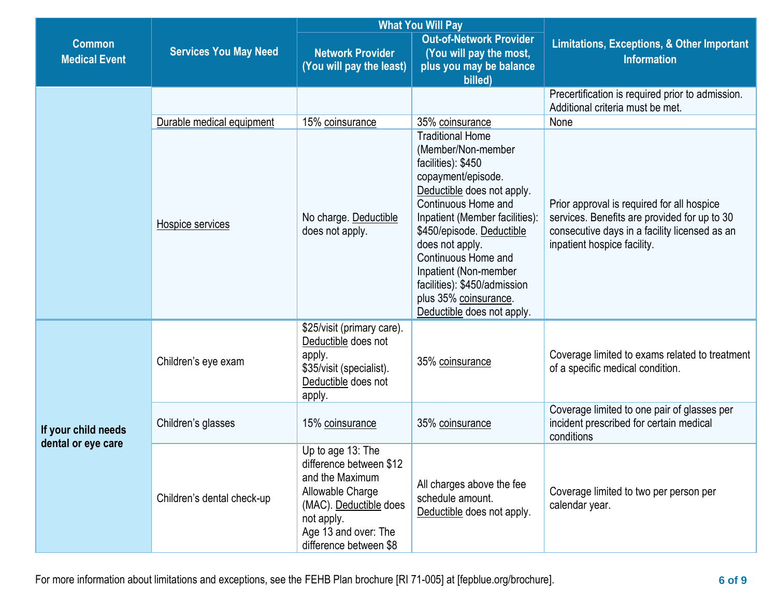|                                           |                              | <b>What You Will Pay</b>                                                                                                                                                                                                                                                                                                                                                                                                                           |                                                                                                                                             |                                                                                                      |  |
|-------------------------------------------|------------------------------|----------------------------------------------------------------------------------------------------------------------------------------------------------------------------------------------------------------------------------------------------------------------------------------------------------------------------------------------------------------------------------------------------------------------------------------------------|---------------------------------------------------------------------------------------------------------------------------------------------|------------------------------------------------------------------------------------------------------|--|
| <b>Common</b><br><b>Medical Event</b>     | <b>Services You May Need</b> | <b>Network Provider</b><br>(You will pay the least)                                                                                                                                                                                                                                                                                                                                                                                                | <b>Out-of-Network Provider</b><br>(You will pay the most,<br>plus you may be balance<br>billed)                                             | <b>Limitations, Exceptions, &amp; Other Important</b><br><b>Information</b>                          |  |
|                                           |                              |                                                                                                                                                                                                                                                                                                                                                                                                                                                    |                                                                                                                                             | Precertification is required prior to admission.<br>Additional criteria must be met.                 |  |
|                                           | Durable medical equipment    | 15% coinsurance                                                                                                                                                                                                                                                                                                                                                                                                                                    | 35% coinsurance                                                                                                                             | None                                                                                                 |  |
|                                           | Hospice services             | <b>Traditional Home</b><br>(Member/Non-member<br>facilities): \$450<br>copayment/episode.<br>Deductible does not apply.<br>Continuous Home and<br>Inpatient (Member facilities):<br>No charge. Deductible<br>\$450/episode. Deductible<br>does not apply.<br>does not apply.<br>inpatient hospice facility.<br>Continuous Home and<br>Inpatient (Non-member<br>facilities): \$450/admission<br>plus 35% coinsurance.<br>Deductible does not apply. | Prior approval is required for all hospice<br>services. Benefits are provided for up to 30<br>consecutive days in a facility licensed as an |                                                                                                      |  |
| If your child needs<br>dental or eye care | Children's eye exam          | \$25/visit (primary care).<br>Deductible does not<br>apply.<br>\$35/visit (specialist).<br>Deductible does not<br>apply.                                                                                                                                                                                                                                                                                                                           | 35% coinsurance                                                                                                                             | Coverage limited to exams related to treatment<br>of a specific medical condition.                   |  |
|                                           | Children's glasses           | 15% coinsurance                                                                                                                                                                                                                                                                                                                                                                                                                                    | 35% coinsurance                                                                                                                             | Coverage limited to one pair of glasses per<br>incident prescribed for certain medical<br>conditions |  |
|                                           | Children's dental check-up   | Up to age 13: The<br>difference between \$12<br>and the Maximum<br>Allowable Charge<br>(MAC). Deductible does<br>not apply.<br>Age 13 and over: The<br>difference between \$8                                                                                                                                                                                                                                                                      | All charges above the fee<br>schedule amount.<br>Deductible does not apply.                                                                 | Coverage limited to two per person per<br>calendar year.                                             |  |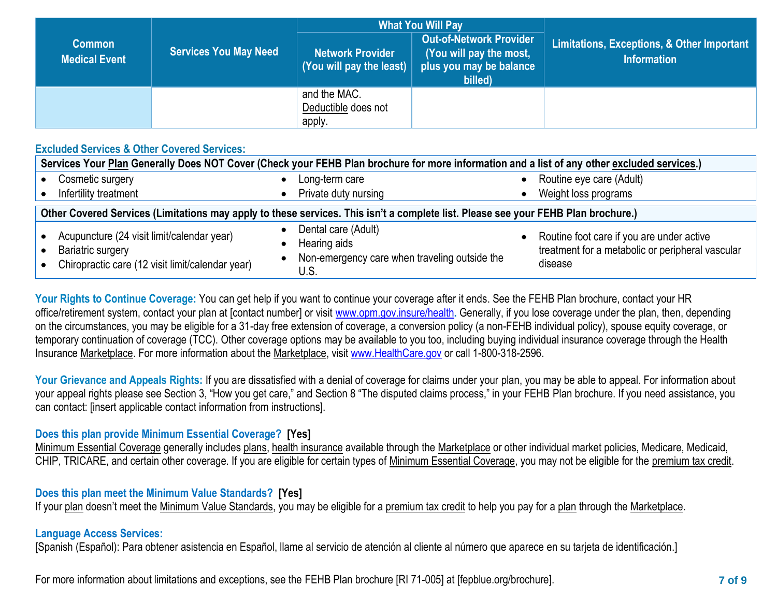|                                       | <b>Services You May Need</b> | <b>What You Will Pay</b>                                         |                                                                                                 |                                                                  |  |
|---------------------------------------|------------------------------|------------------------------------------------------------------|-------------------------------------------------------------------------------------------------|------------------------------------------------------------------|--|
| <b>Common</b><br><b>Medical Event</b> |                              | <b>Network Provider</b><br>(You will pay the least) $\vert\vert$ | <b>Out-of-Network Provider</b><br>(You will pay the most,<br>plus you may be balance<br>billed) | Limitations, Exceptions, & Other Important<br><b>Information</b> |  |
|                                       |                              | and the MAC.<br>Deductible does not<br>apply                     |                                                                                                 |                                                                  |  |

## **Excluded Services & Other Covered Services:**

| Services Your Plan Generally Does NOT Cover (Check your FEHB Plan brochure for more information and a list of any other excluded services.) |                                                                                              |                                                                                                          |  |  |  |
|---------------------------------------------------------------------------------------------------------------------------------------------|----------------------------------------------------------------------------------------------|----------------------------------------------------------------------------------------------------------|--|--|--|
| Cosmetic surgery                                                                                                                            | Long-term care                                                                               | Routine eye care (Adult)                                                                                 |  |  |  |
| Infertility treatment                                                                                                                       | Private duty nursing                                                                         | Weight loss programs                                                                                     |  |  |  |
| Other Covered Services (Limitations may apply to these services. This isn't a complete list. Please see your FEHB Plan brochure.)           |                                                                                              |                                                                                                          |  |  |  |
| Acupuncture (24 visit limit/calendar year)<br><b>Bariatric surgery</b><br>Chiropractic care (12 visit limit/calendar year)                  | Dental care (Adult)<br>Hearing aids<br>Non-emergency care when traveling outside the<br>U.S. | Routine foot care if you are under active<br>treatment for a metabolic or peripheral vascular<br>disease |  |  |  |

**Your Rights to Continue Coverage:** You can get help if you want to continue your coverage after it ends. See the FEHB Plan brochure, contact your HR office/retirement system, contact your plan at [contact number] or visit [www.opm.gov.insure/health](http://www.opm.gov.insure/health)**.** Generally, if you lose coverage under the plan, then, depending on the circumstances, you may be eligible for a 31-day free extension of coverage, a conversion policy (a non-FEHB individual policy), spouse equity coverage, or temporary continuation of coverage (TCC). Other coverage options may be available to you too, including buying individual insurance coverage through the Health Insurance Marketplace. For more information about the Marketplace, visi[t www.HealthCare.gov](http://www.healthcare.gov/) or call 1-800-318-2596.

Your Grievance and Appeals Rights: If you are dissatisfied with a denial of coverage for claims under your plan, you may be able to appeal. For information about your appeal rights please see Section 3, "How you get care," and Section 8 "The disputed claims process," in your FEHB Plan brochure. If you need assistance, you can contact: [insert applicable contact information from instructions].

## **Does this plan provide Minimum Essential Coverage? [Yes]**

Minimum Essential Coverage generally includes [plans,](https://www.healthcare.gov/sbc-glossary/#plan) [health insurance](https://www.healthcare.gov/sbc-glossary/#health-insurance) available through the [Marketplace](https://www.healthcare.gov/sbc-glossary/#marketplace) or other individual market policies, Medicare, Medicaid, CHIP, TRICARE, and certain other coverage. If you are eligible for certain types of [Minimum Essential Coverage,](https://www.healthcare.gov/sbc-glossary/#minimum-essential-coverage) you may not be eligible for the [premium tax credit.](https://www.healthcare.gov/sbc-glossary/#premium-tax-credits)

## **Does this plan meet the Minimum Value Standards? [Yes]**

If your plan doesn't meet the Minimum Value Standards, you may be eligible for a premium tax credit to help you pay for a plan through the Marketplace.

## **Language Access Services:**

[Spanish (Español): Para obtener asistencia en Español, llame al servicio de atención al cliente al número que aparece en su tarjeta de identificación.]

For more information about limitations and exceptions, see the FEHB Plan brochure [RI 71-005] at [fepblue.org/brochure]. **7 of 9**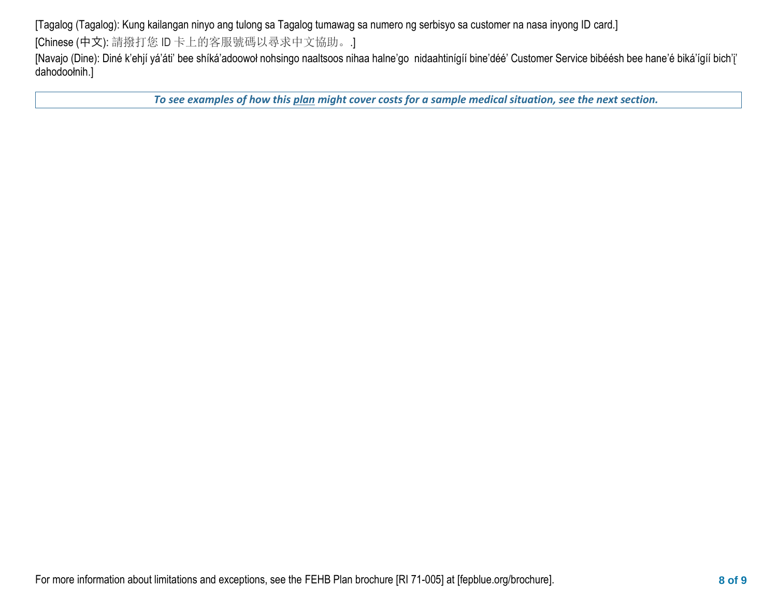[Tagalog (Tagalog): Kung kailangan ninyo ang tulong sa Tagalog tumawag sa numero ng serbisyo sa customer na nasa inyong ID card.] [Chinese (中文): 請撥打您 ID 卡上的客服號碼以尋求中文協助。.]

[Navajo (Dine): Diné k'ehjí yá'áti' bee shíká'adoowoł nohsingo naaltsoos nihaa halne'go nidaahtinígíí bine'déé' Customer Service bibéésh bee hane'é biká'ígíí bich'į' dahodoołnih.]

*To see examples of how this plan might cover costs for a sample medical situation, see the next section.*